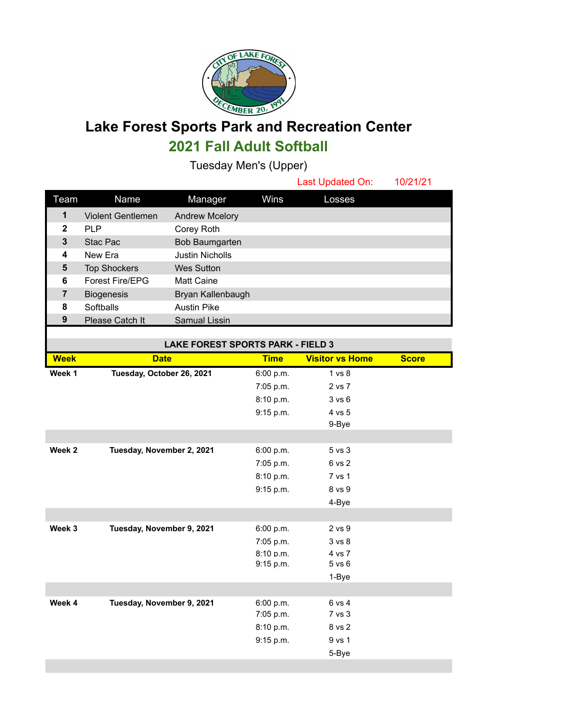

## **Lake Forest Sports Park and Recreation Center 2021 Fall Adult Softball**

Tuesday Men's (Upper)

|              |                          |                        |      | Last Updated On: | 10/21/21 |
|--------------|--------------------------|------------------------|------|------------------|----------|
| Team         | Name                     | Manager                | Wins | Losses           |          |
| 1            | <b>Violent Gentlemen</b> | <b>Andrew Mcelory</b>  |      |                  |          |
| $\mathbf{2}$ | <b>PLP</b>               | Corey Roth             |      |                  |          |
| 3            | Stac Pac                 | Bob Baumgarten         |      |                  |          |
| 4            | New Era                  | <b>Justin Nicholls</b> |      |                  |          |
| 5            | <b>Top Shockers</b>      | <b>Wes Sutton</b>      |      |                  |          |
| 6            | <b>Forest Fire/EPG</b>   | <b>Matt Caine</b>      |      |                  |          |
| 7            | <b>Biogenesis</b>        | Bryan Kallenbaugh      |      |                  |          |
| 8            | Softballs                | <b>Austin Pike</b>     |      |                  |          |
| 9            | Please Catch It          | Samual Lissin          |      |                  |          |

| <b>LAKE FOREST SPORTS PARK - FIELD 3</b> |                           |             |                        |              |  |  |  |
|------------------------------------------|---------------------------|-------------|------------------------|--------------|--|--|--|
| <b>Week</b>                              | <b>Date</b>               | <b>Time</b> | <b>Visitor vs Home</b> | <b>Score</b> |  |  |  |
| Week 1                                   | Tuesday, October 26, 2021 | 6:00 p.m.   | 1 vs 8                 |              |  |  |  |
|                                          |                           | 7:05 p.m.   | 2 vs 7                 |              |  |  |  |
|                                          |                           | 8:10 p.m.   | 3 v s 6                |              |  |  |  |
|                                          |                           | 9:15 p.m.   | 4 vs 5                 |              |  |  |  |
|                                          |                           |             | 9-Bye                  |              |  |  |  |
|                                          |                           |             |                        |              |  |  |  |
| Week 2                                   | Tuesday, November 2, 2021 | 6:00 p.m.   | 5 vs 3                 |              |  |  |  |
|                                          |                           | 7:05 p.m.   | 6 vs 2                 |              |  |  |  |
|                                          |                           | 8:10 p.m.   | 7 vs 1                 |              |  |  |  |
|                                          |                           | 9:15 p.m.   | 8 vs 9                 |              |  |  |  |
|                                          |                           |             | 4-Bye                  |              |  |  |  |
|                                          |                           |             |                        |              |  |  |  |
| Week 3                                   | Tuesday, November 9, 2021 | 6:00 p.m.   | 2 vs 9                 |              |  |  |  |
|                                          |                           | 7:05 p.m.   | 3 vs 8                 |              |  |  |  |
|                                          |                           | 8:10 p.m.   | 4 vs 7                 |              |  |  |  |
|                                          |                           | 9:15 p.m.   | $5$ vs $6$             |              |  |  |  |
|                                          |                           |             | 1-Bye                  |              |  |  |  |
|                                          |                           |             |                        |              |  |  |  |
| Week 4                                   | Tuesday, November 9, 2021 | 6:00 p.m.   | 6 vs 4                 |              |  |  |  |
|                                          |                           | 7:05 p.m.   | 7 vs 3                 |              |  |  |  |
|                                          |                           | 8:10 p.m.   | 8 vs 2                 |              |  |  |  |
|                                          |                           | 9:15 p.m.   | 9 vs 1                 |              |  |  |  |
|                                          |                           |             | 5-Bye                  |              |  |  |  |
|                                          |                           |             |                        |              |  |  |  |